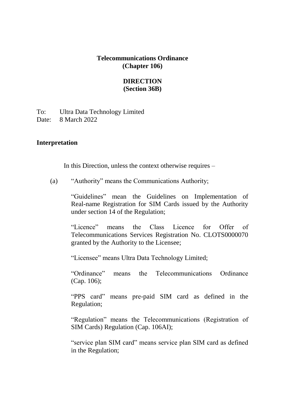#### **Telecommunications Ordinance (Chapter 106)**

### **DIRECTION (Section 36B)**

To: Ultra Data Technology Limited Date: 8 March 2022

#### **Interpretation**

In this Direction, unless the context otherwise requires –

(a) "Authority" means the Communications Authority;

"Guidelines" mean the Guidelines on Implementation of Real-name Registration for SIM Cards issued by the Authority under section 14 of the Regulation;

"Licence" means the Class Licence for Offer of Telecommunications Services Registration No. CLOTS0000070 granted by the Authority to the Licensee;

"Licensee" means Ultra Data Technology Limited;

"Ordinance" means the Telecommunications Ordinance (Cap. 106);

"PPS card" means pre-paid SIM card as defined in the Regulation;

"Regulation" means the Telecommunications (Registration of SIM Cards) Regulation (Cap. 106AI);

"service plan SIM card" means service plan SIM card as defined in the Regulation;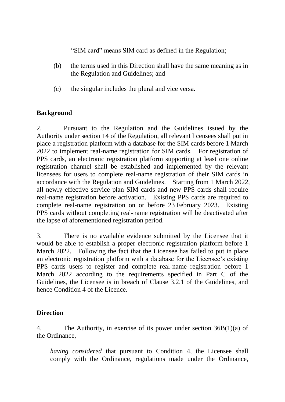"SIM card" means SIM card as defined in the Regulation;

- (b) the terms used in this Direction shall have the same meaning as in the Regulation and Guidelines; and
- (c) the singular includes the plural and vice versa.

## **Background**

2. Pursuant to the Regulation and the Guidelines issued by the Authority under section 14 of the Regulation, all relevant licensees shall put in place a registration platform with a database for the SIM cards before 1 March 2022 to implement real-name registration for SIM cards. For registration of PPS cards, an electronic registration platform supporting at least one online registration channel shall be established and implemented by the relevant licensees for users to complete real-name registration of their SIM cards in accordance with the Regulation and Guidelines. Starting from 1 March 2022, all newly effective service plan SIM cards and new PPS cards shall require real-name registration before activation. Existing PPS cards are required to complete real-name registration on or before 23 February 2023. Existing PPS cards without completing real-name registration will be deactivated after the lapse of aforementioned registration period.

3. There is no available evidence submitted by the Licensee that it would be able to establish a proper electronic registration platform before 1 March 2022. Following the fact that the Licensee has failed to put in place an electronic registration platform with a database for the Licensee's existing PPS cards users to register and complete real-name registration before 1 March 2022 according to the requirements specified in Part C of the Guidelines, the Licensee is in breach of Clause 3.2.1 of the Guidelines, and hence Condition 4 of the Licence.

# **Direction**

4. The Authority, in exercise of its power under section 36B(1)(a) of the Ordinance,

*having considered* that pursuant to Condition 4, the Licensee shall comply with the Ordinance, regulations made under the Ordinance,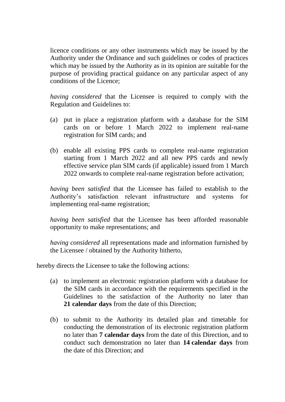licence conditions or any other instruments which may be issued by the Authority under the Ordinance and such guidelines or codes of practices which may be issued by the Authority as in its opinion are suitable for the purpose of providing practical guidance on any particular aspect of any conditions of the Licence;

*having considered* that the Licensee is required to comply with the Regulation and Guidelines to:

- (a) put in place a registration platform with a database for the SIM cards on or before 1 March 2022 to implement real-name registration for SIM cards; and
- (b) enable all existing PPS cards to complete real-name registration starting from 1 March 2022 and all new PPS cards and newly effective service plan SIM cards (if applicable) issued from 1 March 2022 onwards to complete real-name registration before activation;

*having been satisfied* that the Licensee has failed to establish to the Authority's satisfaction relevant infrastructure and systems for implementing real-name registration;

*having been satisfied* that the Licensee has been afforded reasonable opportunity to make representations; and

*having considered* all representations made and information furnished by the Licensee / obtained by the Authority hitherto,

hereby directs the Licensee to take the following actions:

- (a) to implement an electronic registration platform with a database for the SIM cards in accordance with the requirements specified in the Guidelines to the satisfaction of the Authority no later than **21 calendar days** from the date of this Direction;
- (b) to submit to the Authority its detailed plan and timetable for conducting the demonstration of its electronic registration platform no later than **7 calendar days** from the date of this Direction, and to conduct such demonstration no later than **14 calendar days** from the date of this Direction; and